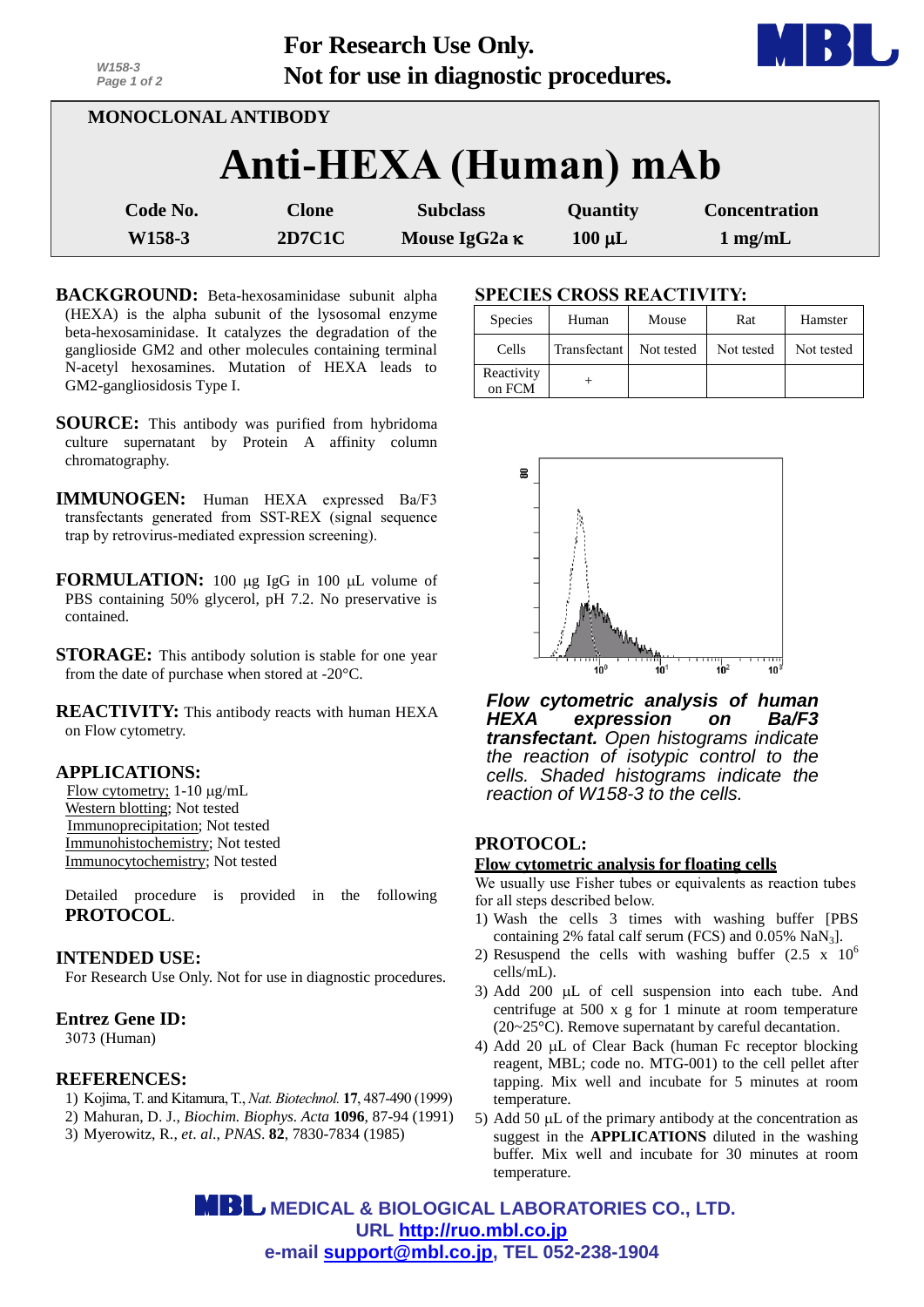| <b>For Research Use Only.</b>         |
|---------------------------------------|
| Not for use in diagnostic procedures. |



- **BACKGROUND:** Beta-hexosaminidase subunit alpha (HEXA) is the alpha subunit of the lysosomal enzyme beta-hexosaminidase. It catalyzes the degradation of the ganglioside GM2 and other molecules containing terminal N-acetyl hexosamines. Mutation of HEXA leads to GM2-gangliosidosis Type I.
- **SOURCE:** This antibody was purified from hybridoma culture supernatant by Protein A affinity column chromatography.
- **IMMUNOGEN:** Human HEXA expressed Ba/F3 transfectants generated from SST-REX (signal sequence trap by retrovirus-mediated expression screening).
- **FORMULATION:** 100 µg IgG in 100 µL volume of PBS containing 50% glycerol, pH 7.2. No preservative is contained.
- **STORAGE:** This antibody solution is stable for one year from the date of purchase when stored at -20°C.
- **REACTIVITY:** This antibody reacts with human HEXA on Flow cytometry.

## **APPLICATIONS:**

*W158-3*

Flow cytometry;  $1-10 \mu g/mL$ Western blotting; Not tested Immunoprecipitation; Not tested Immunohistochemistry; Not tested Immunocytochemistry; Not tested

Detailed procedure is provided in the following **PROTOCOL**.

## **INTENDED USE:**

For Research Use Only. Not for use in diagnostic procedures.

## **Entrez Gene ID:**

3073 (Human)

## **REFERENCES:**

- 1) [Kojima,](http://www.ncbi.nlm.nih.gov/pubmed?term=Kojima%20T%5BAuthor%5D&cauthor=true&cauthor_uid=10331810) T. an[d Kitamura,T.,](http://www.ncbi.nlm.nih.gov/pubmed?term=Kitamura%20T%5BAuthor%5D&cauthor=true&cauthor_uid=10331810) *Nat. Biotechnol.* **17**, 487-490 (1999)
- 2) Mahuran, D. J., *Biochim. Biophys. Acta* **1096**, 87-94 (1991)
- 3) Myerowitz, R., *et*. *al*., *PNAS*. **82**, 7830-7834 (1985)

## **SPECIES CROSS REACTIVITY:**

| <b>Species</b>       | Human        | Mouse      | Rat        | Hamster    |
|----------------------|--------------|------------|------------|------------|
| Cells                | Transfectant | Not tested | Not tested | Not tested |
| Reactivity<br>on FCM |              |            |            |            |



*Flow cytometric analysis of human HEXA expression on Ba/F3 transfectant. Open histograms indicate the reaction of isotypic control to the cells. Shaded histograms indicate the reaction of W158-3 to the cells.*

# **PROTOCOL:**

## **Flow cytometric analysis for floating cells**

We usually use Fisher tubes or equivalents as reaction tubes for all steps described below.

- 1) Wash the cells 3 times with washing buffer [PBS containing 2% fatal calf serum (FCS) and  $0.05\%$  NaN<sub>3</sub>].
- 2) Resuspend the cells with washing buffer  $(2.5 \times 10^6$ cells/mL).
- 3) Add 200  $\mu$ L of cell suspension into each tube. And centrifuge at 500 x g for 1 minute at room temperature (20~25°C). Remove supernatant by careful decantation.
- 4) Add 20 uL of Clear Back (human Fc receptor blocking reagent, MBL; code no. MTG-001) to the cell pellet after tapping. Mix well and incubate for 5 minutes at room temperature.
- 5) Add 50  $\mu$ L of the primary antibody at the concentration as suggest in the **APPLICATIONS** diluted in the washing buffer. Mix well and incubate for 30 minutes at room temperature.

 **MEDICAL & BIOLOGICAL LABORATORIES CO., LTD. URL [http://ruo.mbl.co.jp](http://ruo.mbl.co.jp/) e-mail [support@mbl.co.jp,](mailto:support@mbl.co.jp) TEL 052-238-1904**